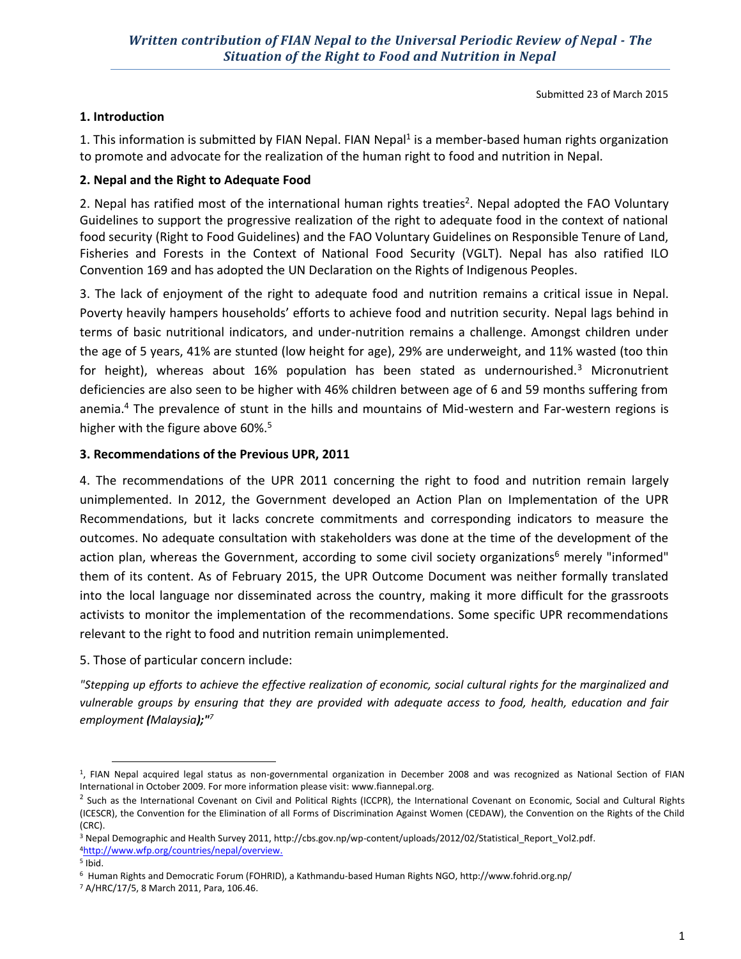Submitted 23 of March 2015

## **1. Introduction**

1. This information is submitted by FIAN Nepal. FIAN Nepal<sup>1</sup> is a member-based human rights organization to promote and advocate for the realization of the human right to food and nutrition in Nepal.

## **2. Nepal and the Right to Adequate Food**

2. Nepal has ratified most of the international human rights treaties<sup>2</sup>. Nepal adopted the FAO Voluntary Guidelines to support the progressive realization of the right to adequate food in the context of national food security (Right to Food Guidelines) and the FAO Voluntary Guidelines on Responsible Tenure of Land, Fisheries and Forests in the Context of National Food Security (VGLT). Nepal has also ratified ILO Convention 169 and has adopted the UN Declaration on the Rights of Indigenous Peoples.

3. The lack of enjoyment of the right to adequate food and nutrition remains a critical issue in Nepal. Poverty heavily hampers households' efforts to achieve food and nutrition security. Nepal lags behind in terms of basic nutritional indicators, and under-nutrition remains a challenge. Amongst children under the age of 5 years, 41% are stunted (low height for age), 29% are underweight, and 11% wasted (too thin for height), whereas about 16% population has been stated as undernourished.<sup>3</sup> Micronutrient deficiencies are also seen to be higher with 46% children between age of 6 and 59 months suffering from anemia.4 The prevalence of stunt in the hills and mountains of Mid-western and Far-western regions is higher with the figure above 60%.<sup>5</sup>

### **3. Recommendations of the Previous UPR, 2011**

4. The recommendations of the UPR 2011 concerning the right to food and nutrition remain largely unimplemented. In 2012, the Government developed an Action Plan on Implementation of the UPR Recommendations, but it lacks concrete commitments and corresponding indicators to measure the outcomes. No adequate consultation with stakeholders was done at the time of the development of the action plan, whereas the Government, according to some civil society organizations<sup>6</sup> merely "informed" them of its content. As of February 2015, the UPR Outcome Document was neither formally translated into the local language nor disseminated across the country, making it more difficult for the grassroots activists to monitor the implementation of the recommendations. Some specific UPR recommendations relevant to the right to food and nutrition remain unimplemented.

5. Those of particular concern include:

*"Stepping up efforts to achieve the effective realization of economic, social cultural rights for the marginalized and vulnerable groups by ensuring that they are provided with adequate access to food, health, education and fair employment (Malaysia);"<sup>7</sup>*

 <sup>1,</sup> FIAN Nepal acquired legal status as non-governmental organization in December 2008 and was recognized as National Section of FIAN International in October 2009. For more information please visit: www.fiannepal.org.

<sup>&</sup>lt;sup>2</sup> Such as the International Covenant on Civil and Political Rights (ICCPR), the International Covenant on Economic, Social and Cultural Rights (ICESCR), the Convention for the Elimination of all Forms of Discrimination Against Women (CEDAW), the Convention on the Rights of the Child (CRC).

<sup>3</sup> Nepal Demographic and Health Survey 2011, http://cbs.gov.np/wp-content/uploads/2012/02/Statistical\_Report\_Vol2.pdf. 4http://www.wfp.org/countries/nepal/overview.

 $5$  Ibid.

<sup>6</sup> Human Rights and Democratic Forum (FOHRID), a Kathmandu-based Human Rights NGO, http://www.fohrid.org.np/

<sup>7</sup> A/HRC/17/5, 8 March 2011, Para, 106.46.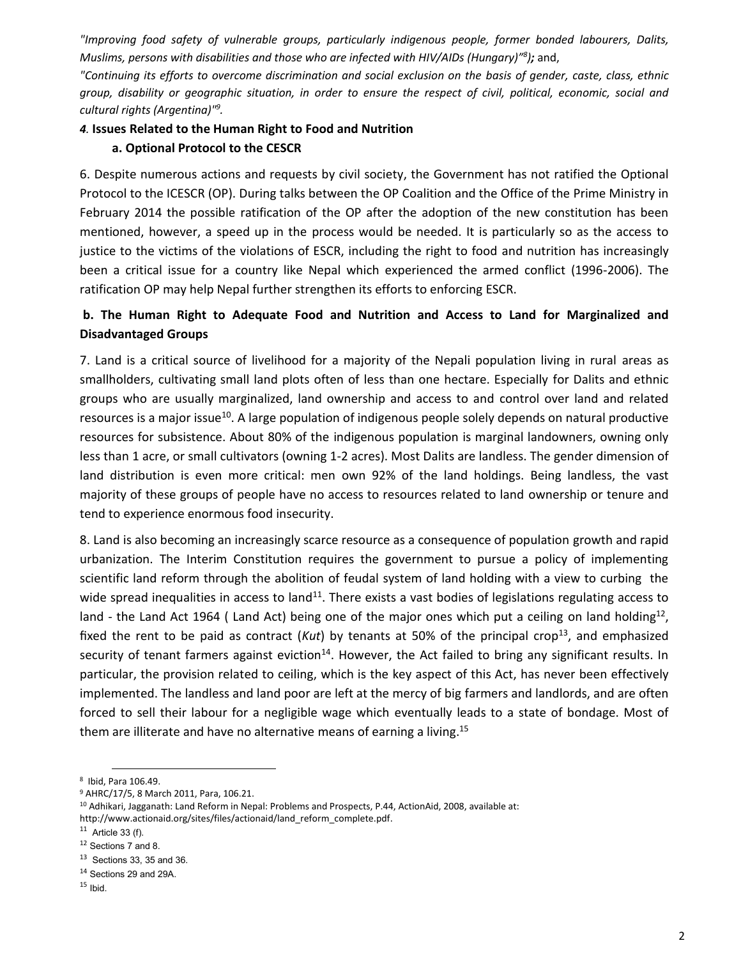*"Improving food safety of vulnerable groups, particularly indigenous people, former bonded labourers, Dalits, Muslims, persons with disabilities and those who are infected with HIV/AIDs (Hungary)"<sup>8</sup> );* and,

*"Continuing its efforts to overcome discrimination and social exclusion on the basis of gender, caste, class, ethnic group, disability or geographic situation, in order to ensure the respect of civil, political, economic, social and cultural rights (Argentina)"9 .*

# *4.* **Issues Related to the Human Right to Food and Nutrition**

### **a. Optional Protocol to the CESCR**

6. Despite numerous actions and requests by civil society, the Government has not ratified the Optional Protocol to the ICESCR (OP). During talks between the OP Coalition and the Office of the Prime Ministry in February 2014 the possible ratification of the OP after the adoption of the new constitution has been mentioned, however, a speed up in the process would be needed. It is particularly so as the access to justice to the victims of the violations of ESCR, including the right to food and nutrition has increasingly been a critical issue for a country like Nepal which experienced the armed conflict (1996-2006). The ratification OP may help Nepal further strengthen its efforts to enforcing ESCR.

# **b. The Human Right to Adequate Food and Nutrition and Access to Land for Marginalized and Disadvantaged Groups**

7. Land is a critical source of livelihood for a majority of the Nepali population living in rural areas as smallholders, cultivating small land plots often of less than one hectare. Especially for Dalits and ethnic groups who are usually marginalized, land ownership and access to and control over land and related resources is a major issue<sup>10</sup>. A large population of indigenous people solely depends on natural productive resources for subsistence. About 80% of the indigenous population is marginal landowners, owning only less than 1 acre, or small cultivators (owning 1-2 acres). Most Dalits are landless. The gender dimension of land distribution is even more critical: men own 92% of the land holdings. Being landless, the vast majority of these groups of people have no access to resources related to land ownership or tenure and tend to experience enormous food insecurity.

8. Land is also becoming an increasingly scarce resource as a consequence of population growth and rapid urbanization. The Interim Constitution requires the government to pursue a policy of implementing scientific land reform through the abolition of feudal system of land holding with a view to curbing the wide spread inequalities in access to land<sup>11</sup>. There exists a vast bodies of legislations regulating access to land - the Land Act 1964 (Land Act) being one of the major ones which put a ceiling on land holding<sup>12</sup>, fixed the rent to be paid as contract (*Kut*) by tenants at 50% of the principal crop<sup>13</sup>, and emphasized security of tenant farmers against eviction<sup>14</sup>. However, the Act failed to bring any significant results. In particular, the provision related to ceiling, which is the key aspect of this Act, has never been effectively implemented. The landless and land poor are left at the mercy of big farmers and landlords, and are often forced to sell their labour for a negligible wage which eventually leads to a state of bondage. Most of them are illiterate and have no alternative means of earning a living.<sup>15</sup>

 <sup>8</sup> Ibid, Para 106.49.

<sup>9</sup> AHRC/17/5, 8 March 2011, Para, 106.21.

<sup>10</sup> Adhikari, Jagganath: Land Reform in Nepal: Problems and Prospects, P.44, ActionAid, 2008, available at:

http://www.actionaid.org/sites/files/actionaid/land\_reform\_complete.pdf.

 $11$  Article 33 (f).

<sup>12</sup> Sections 7 and 8.

 $13$  Sections 33, 35 and 36.

<sup>&</sup>lt;sup>14</sup> Sections 29 and 29A.

 $15$  Ibid.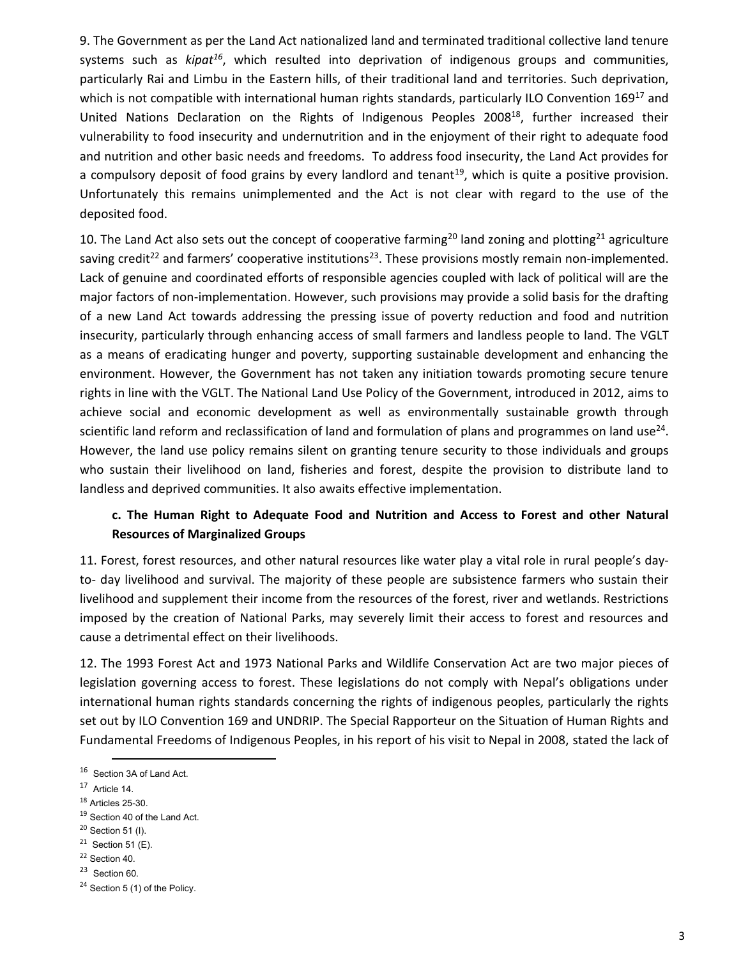9. The Government as per the Land Act nationalized land and terminated traditional collective land tenure systems such as *kipat<sup>16</sup>*, which resulted into deprivation of indigenous groups and communities, particularly Rai and Limbu in the Eastern hills, of their traditional land and territories. Such deprivation, which is not compatible with international human rights standards, particularly ILO Convention 169<sup>17</sup> and United Nations Declaration on the Rights of Indigenous Peoples 2008<sup>18</sup>, further increased their vulnerability to food insecurity and undernutrition and in the enjoyment of their right to adequate food and nutrition and other basic needs and freedoms. To address food insecurity, the Land Act provides for a compulsory deposit of food grains by every landlord and tenant<sup>19</sup>, which is quite a positive provision. Unfortunately this remains unimplemented and the Act is not clear with regard to the use of the deposited food.

10. The Land Act also sets out the concept of cooperative farming<sup>20</sup> land zoning and plotting<sup>21</sup> agriculture saving credit<sup>22</sup> and farmers' cooperative institutions<sup>23</sup>. These provisions mostly remain non-implemented. Lack of genuine and coordinated efforts of responsible agencies coupled with lack of political will are the major factors of non-implementation. However, such provisions may provide a solid basis for the drafting of a new Land Act towards addressing the pressing issue of poverty reduction and food and nutrition insecurity, particularly through enhancing access of small farmers and landless people to land. The VGLT as a means of eradicating hunger and poverty, supporting sustainable development and enhancing the environment. However, the Government has not taken any initiation towards promoting secure tenure rights in line with the VGLT. The National Land Use Policy of the Government, introduced in 2012, aims to achieve social and economic development as well as environmentally sustainable growth through scientific land reform and reclassification of land and formulation of plans and programmes on land use<sup>24</sup>. However, the land use policy remains silent on granting tenure security to those individuals and groups who sustain their livelihood on land, fisheries and forest, despite the provision to distribute land to landless and deprived communities. It also awaits effective implementation.

# **c. The Human Right to Adequate Food and Nutrition and Access to Forest and other Natural Resources of Marginalized Groups**

11. Forest, forest resources, and other natural resources like water play a vital role in rural people's dayto- day livelihood and survival. The majority of these people are subsistence farmers who sustain their livelihood and supplement their income from the resources of the forest, river and wetlands. Restrictions imposed by the creation of National Parks, may severely limit their access to forest and resources and cause a detrimental effect on their livelihoods.

12. The 1993 Forest Act and 1973 National Parks and Wildlife Conservation Act are two major pieces of legislation governing access to forest. These legislations do not comply with Nepal's obligations under international human rights standards concerning the rights of indigenous peoples, particularly the rights set out by ILO Convention 169 and UNDRIP. The Special Rapporteur on the Situation of Human Rights and Fundamental Freedoms of Indigenous Peoples, in his report of his visit to Nepal in 2008, stated the lack of

<sup>18</sup> Articles 25-30.

- <sup>22</sup> Section 40.
- <sup>23</sup> Section 60.

<sup>16</sup> Section 3A of Land Act.

 $17$  Article 14.

<sup>&</sup>lt;sup>19</sup> Section 40 of the Land Act.

<sup>20</sup> Section 51 (I).

 $21$  Section 51 (E).

<sup>&</sup>lt;sup>24</sup> Section 5 (1) of the Policy.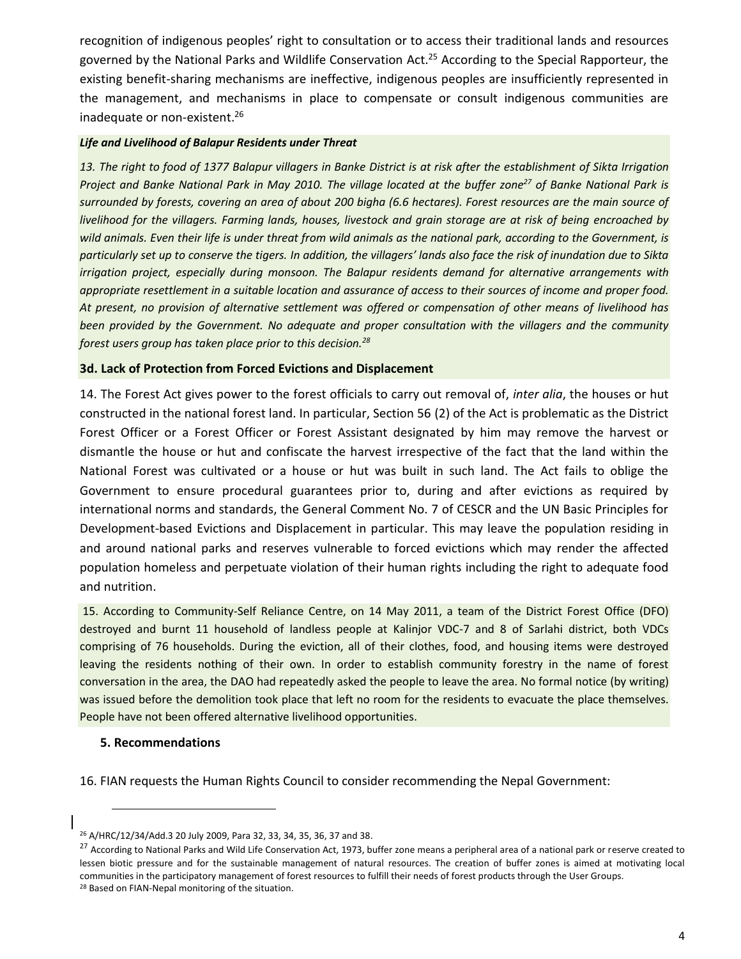recognition of indigenous peoples' right to consultation or to access their traditional lands and resources governed by the National Parks and Wildlife Conservation Act.<sup>25</sup> According to the Special Rapporteur, the existing benefit-sharing mechanisms are ineffective, indigenous peoples are insufficiently represented in the management, and mechanisms in place to compensate or consult indigenous communities are inadequate or non-existent.26

#### *Life and Livelihood of Balapur Residents under Threat*

*13. The right to food of 1377 Balapur villagers in Banke District is at risk after the establishment of Sikta Irrigation Project and Banke National Park in May 2010. The village located at the buffer zone<sup>27</sup> of Banke National Park is surrounded by forests, covering an area of about 200 bigha (6.6 hectares). Forest resources are the main source of livelihood for the villagers. Farming lands, houses, livestock and grain storage are at risk of being encroached by wild animals. Even their life is under threat from wild animals as the national park, according to the Government, is particularly set up to conserve the tigers. In addition, the villagers' lands also face the risk of inundation due to Sikta irrigation project, especially during monsoon. The Balapur residents demand for alternative arrangements with appropriate resettlement in a suitable location and assurance of access to their sources of income and proper food. At present, no provision of alternative settlement was offered or compensation of other means of livelihood has been provided by the Government. No adequate and proper consultation with the villagers and the community forest users group has taken place prior to this decision.28*

### **3d. Lack of Protection from Forced Evictions and Displacement**

14. The Forest Act gives power to the forest officials to carry out removal of, *inter alia*, the houses or hut constructed in the national forest land. In particular, Section 56 (2) of the Act is problematic as the District Forest Officer or a Forest Officer or Forest Assistant designated by him may remove the harvest or dismantle the house or hut and confiscate the harvest irrespective of the fact that the land within the National Forest was cultivated or a house or hut was built in such land. The Act fails to oblige the Government to ensure procedural guarantees prior to, during and after evictions as required by international norms and standards, the General Comment No. 7 of CESCR and the UN Basic Principles for Development-based Evictions and Displacement in particular. This may leave the population residing in and around national parks and reserves vulnerable to forced evictions which may render the affected population homeless and perpetuate violation of their human rights including the right to adequate food and nutrition.

15. According to Community-Self Reliance Centre, on 14 May 2011, a team of the District Forest Office (DFO) destroyed and burnt 11 household of landless people at Kalinjor VDC-7 and 8 of Sarlahi district, both VDCs comprising of 76 households. During the eviction, all of their clothes, food, and housing items were destroyed leaving the residents nothing of their own. In order to establish community forestry in the name of forest conversation in the area, the DAO had repeatedly asked the people to leave the area. No formal notice (by writing) was issued before the demolition took place that left no room for the residents to evacuate the place themselves. People have not been offered alternative livelihood opportunities.

#### **5. Recommendations**

-

16. FIAN requests the Human Rights Council to consider recommending the Nepal Government:

<sup>26</sup> A/HRC/12/34/Add.3 20 July 2009, Para 32, 33, 34, 35, 36, 37 and 38.

<sup>&</sup>lt;sup>27</sup> According to National Parks and Wild Life Conservation Act, 1973, buffer zone means a peripheral area of a national park or reserve created to lessen biotic pressure and for the sustainable management of natural resources. The creation of buffer zones is aimed at motivating local communities in the participatory management of forest resources to fulfill their needs of forest products through the User Groups. <sup>28</sup> Based on FIAN-Nepal monitoring of the situation.